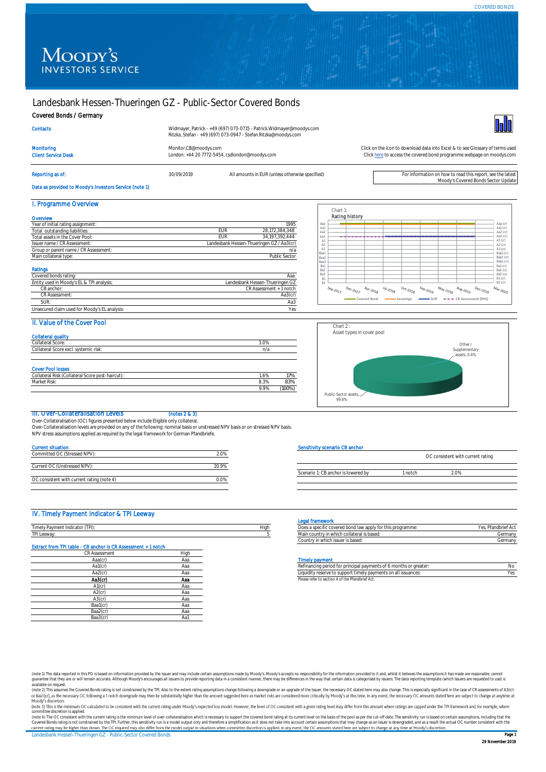# Landesbank Hessen-Thueringen GZ - Public-Sector Covered Bonds

## Covered Bonds / Germany

| Widmayer, Patrick - +49 (697) 073-0715 - Patrick.Widmayer@moodys.com |
|----------------------------------------------------------------------|
| Ritzka, Stefan - +49 (697) 073-0947 - Stefan.Ritzka@moodys.com       |

Monitoring [Monitor.CB@moodys.com](mailto:Monitor.CB@moodys.com) Monitor.CB@moodys.com Click on the icon to download data into Excel & to see Glossary of terms used<br>Click here to access the covered bond programme webpage on moodys.com Click here to acces Client Service Desk London: +44 20 7772-5454, csdlondon@moodys.com



# Reporting as of: see the latest and the move of the S0/09/2019 All amounts in EUR (unless otherwise specified)<br>Moody's Covered Bonds Sector Update محافة المستحدة المستحدة المستحدة المستحدة المستحدة المستحدة المستحدة المستح

**Contacts** 

Data as provided to Moody's Investors Service (note 1)

#### I. Programme Overview

| Year of initial rating assignment:        | 1995                                      |
|-------------------------------------------|-------------------------------------------|
| Total outstanding liabilities:            | 28.172.384.348<br><b>EUR</b>              |
| Total assets in the Cover Pool:           | 34.197.392.444<br><b>EUR</b>              |
| Issuer name / CR Assessment:              | Landesbank Hessen-Thueringen GZ / Aa3(cr) |
| Group or parent name / CR Assessment:     | n/a                                       |
| Main collateral type:                     | Public Sector                             |
| <b>Ratings</b><br>Covered bonds rating:   | Ааа                                       |
| Entity used in Moody's EL & TPI analysis: | Landesbank Hessen-Thueringen GZ           |
|                                           | CR Assessment + 1 notch                   |
| CB anchor:                                |                                           |
| <b>CR Assessment:</b>                     | Aa3(cr)                                   |
| SUR:                                      | Aa3                                       |



[Click here](https://www.moodys.com/credit-ratings/Landesbank-HessenThueringen-GZ--PublicSector-Covered-Bonds-credit-rating-722434892) to access the covered bond programme webpage on moodys.com

#### $II$ . Value of the Cover

| <b>II. VAIUS UI LIIS COVSI FOOI</b>              |      |        |
|--------------------------------------------------|------|--------|
| <b>Collateral quality</b>                        |      |        |
| Collateral Score:                                | 3.0% |        |
| Collateral Score excl. systemic risk:            | n/a  |        |
|                                                  |      |        |
| <b>Cover Pool losses</b>                         |      |        |
| Collateral Risk (Collateral Score post-haircut): | 1.6% | 17%    |
| Market Risk:                                     | 8.3% | 83%    |
|                                                  | 9.9% | (100%) |



#### III. Over-Collateralisation Levels (notes 2 & 3)

Over-Collateralisation (OC) figures presented below include Eligible only collateral. Over-Collateralisation levels are provided on any of the following: nominal basis or unstressed NPV basis or on stressed NPV basis.

NPV stress assumptions applied as required by the legal framework for German Pfandbriefe.

| <b>Current situation</b>                   |       |
|--------------------------------------------|-------|
| Committed OC (Stressed NPV):               | 2.0%  |
|                                            |       |
| Current OC (Unstressed NPV):               | 20.9% |
|                                            |       |
| OC consistent with current rating (note 4) | በ በ%  |

# Sensitivity scenario CB anchor

|                                     |       | OC consistent with current rating |  |
|-------------------------------------|-------|-----------------------------------|--|
|                                     |       |                                   |  |
| Scenario 1: CB anchor is lowered by | notch | 0%                                |  |

#### IV. Timely Payment Indicator & TPI Leeway

| Timely Payment Indicator (TPI):                               |      |
|---------------------------------------------------------------|------|
| TPI Leeway:                                                   |      |
| Extract from TPI table - CB anchor Is CR Assessment + 1 notch |      |
| <b>CR Assessment</b>                                          | High |
| Aaa(cr)                                                       | Aaa  |
| Aa1(cr)                                                       | Aaa  |
| Aa2(cr)                                                       | Aaa  |
| Aa3(cr)                                                       | Ааа  |
| $A1$ (cr)                                                     | Ааа  |
| $A2$ (cr)                                                     | Aaa  |
| $A3$ (cr)                                                     | Aaa  |
| Baa1(cr)                                                      | Aaa  |
| Baa2(cr)                                                      | Aaa  |
| Baa3(cr)                                                      | Aa1  |

#### Legal framework

|                                                 |      | ----------------------                                          |                    |
|-------------------------------------------------|------|-----------------------------------------------------------------|--------------------|
| <b>CONTINUE</b><br>Timelv Pavment<br>Indicator! | Hiah | fic covered bond law apply for this programme:"<br>55. G. C. C. | <b>BUILD IS AN</b> |
| <b>TPI Leeway</b>                               |      | mintry in which collateral is based.<br>iviali i Coul           | Germany            |
|                                                 |      | ו which issuer is based:<br>Country in                          | Germany            |

#### **Timely payment**

| Aa1(cr  | Ado | Refinancing period for principal payments of 6 months or greater: |  |
|---------|-----|-------------------------------------------------------------------|--|
| Aa2(cr' | ٩d  | Liquidity reserve to support timely payments on all issuances:    |  |
| Aa3(cr) | Ааа | Please refer to section 4 of the Pfandbrief Act.                  |  |

(note 1) The data reported in this PO is based on information provided by the issuer and may include certain assumptions made by Moody's accopts no responsibility for the information provided to it and, whilst it believes

Landesbank Hessen-Thueringen GZ - Public-Sector Covered Bonds Page 1 committee discretion is applied.<br>(note 4) The OC consistent with the current rating is the minimum level of over-collateralisation which is necessary to support the covered bond rating at its current level on the basis of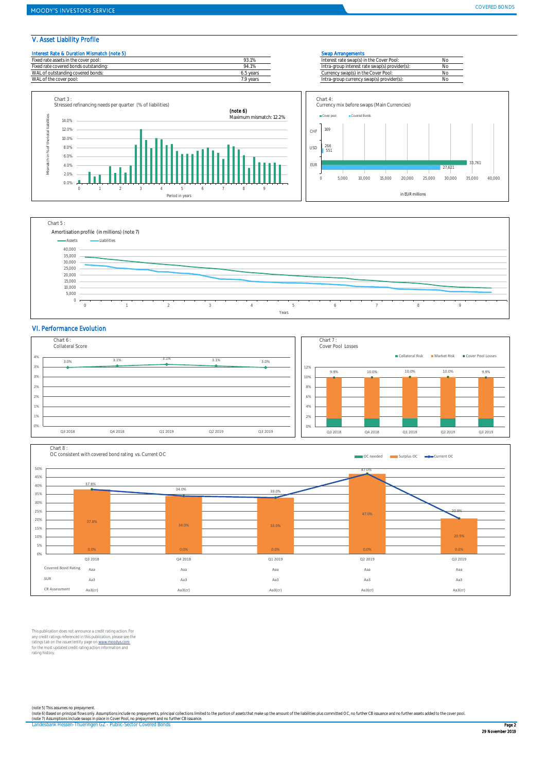### V. Asset Liability Profile

| Interest Rate & Duration Mismatch (note 5) |           | <b>Swap Arrangements</b>                       |  |
|--------------------------------------------|-----------|------------------------------------------------|--|
| Fixed rate assets in the cover pool:       | 93.1%     | Interest rate swap(s) in the Cover Pool:       |  |
| Fixed rate covered bonds outstanding:      | 94.1%     | Intra-group interest rate swap(s) provider(s): |  |
| WAL of outstanding covered bonds:          | 6.5 years | Currency swap(s) in the Cover Pool:            |  |
| WAL of the cover pool:                     | 7.9 vears | Intra-group currency swap(s) provider(s):      |  |
|                                            |           |                                                |  |







#### VI. Performance Evolution





This publication does not announce a credit rating action. For<br>any credit ratings referenced in this publication, please see the<br>ratings tab on the issuer/entity page on www.moodys.com<br>for the most updated credit rating ac rating history.

(note 5) This assumes no prepayment.<br>(note 6) Based on principal flows only Assumptions include no prepayments, principal collections limited to the portion of assets that make up the amount of the liabilities plus committ

Landesbank Hessen-Thueringen GZ - Public-Sector Covered Bonds Page 2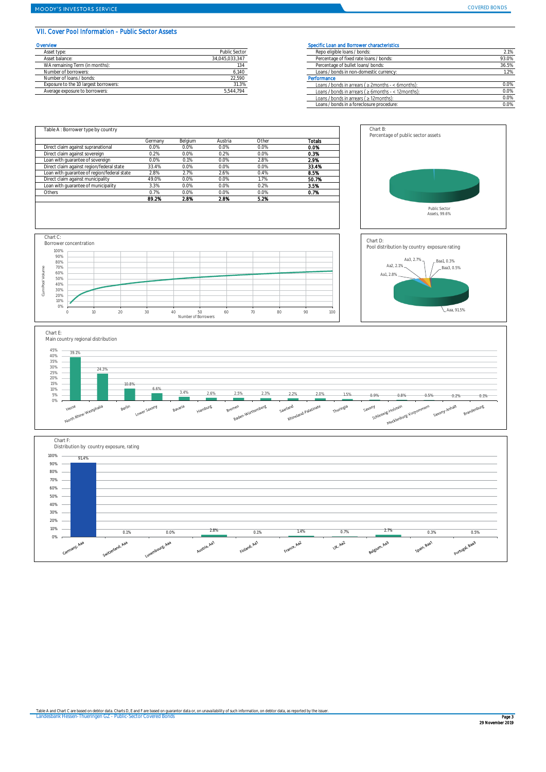#### VII. Cover Pool Information - Public Sector Assets

| Overvlew                              |                | <b>Specific Loar</b> |
|---------------------------------------|----------------|----------------------|
| Asset type:                           | Public Sector  | Repo elig            |
| Asset balance:                        | 34.045.033.347 | Percentad            |
| WA remaining Term (in months):        | 134            | Percentad            |
| Number of borrowers:                  | 6.140          | Loans / bi           |
| Number of loans / bonds:              | 22.590         | Performance          |
| Exposure to the 10 largest borrowers: | 31.3%          | Loans / b            |
| Average exposure to borrowers:        | 5.544.794      | Loans / be           |

#### Specific Loan and Borrower characteristics

Chart B:

| Asset type:                           | Public Sector  | Repo eligible loans / bonds:                               | 2.1%  |
|---------------------------------------|----------------|------------------------------------------------------------|-------|
| Asset balance:                        | 34.045.033.347 | Percentage of fixed rate loans / bonds:                    | 93.0% |
| WA remaining Term (in months):        |                | Percentage of bullet loans/ bonds:                         | 36.5% |
| Number of borrowers:                  | 6,140          | Loans / bonds in non-domestic currency:                    | 1.2%  |
| Number of loans / bonds:              | 22,590         | Performance                                                |       |
| Exposure to the 10 largest borrowers: | 31.3%          | Loans / bonds in arrears ( $\geq$ 2months - < 6months):    | 0.0%  |
| Average exposure to borrowers:        | 5,544,794      | Loans / bonds in arrears ( $\geq 6$ months - < 12 months): | 0.0%  |
|                                       |                | Loans / bonds in arrears ( $\geq$ 12 months):              | 0.0%  |
|                                       |                | Loans / bonds in a foreclosure procedure:                  | 0.0%  |
|                                       |                |                                                            |       |

Percentage of public sector assets

|                                             | Germany | Belgium | Austria | Other | Totals |
|---------------------------------------------|---------|---------|---------|-------|--------|
| Direct claim against supranational          | 0.0%    | 0.0%    | 0.0%    | 0.0%  | 0.0%   |
| Direct claim against sovereign              | 0.2%    | 0.0%    | 0.2%    | 0.0%  | 0.3%   |
| Loan with quarantee of sovereign            | 0.0%    | 0.1%    | 0.0%    | 2.8%  | 2.9%   |
| Direct claim against region/federal state   | 33.4%   | 0.0%    | 0.0%    | 0.0%  | 33.4%  |
| Loan with quarantee of region/federal state | 2.8%    | 2.7%    | 2.6%    | 0.4%  | 8.5%   |
| Direct claim against municipality           | 49.0%   | 0.0%    | 0.0%    | 1.7%  | 50.7%  |
| Loan with quarantee of municipality         | 3.3%    | 0.0%    | 0.0%    | 0.2%  | 3.5%   |
| Others                                      | 0.7%    | 0.0%    | 0.0%    | 0.0%  | 0.7%   |
|                                             | 89.2%   | 2.8%    | 2.8%    | 5.2%  |        |









Public Sector Assets, 99.6%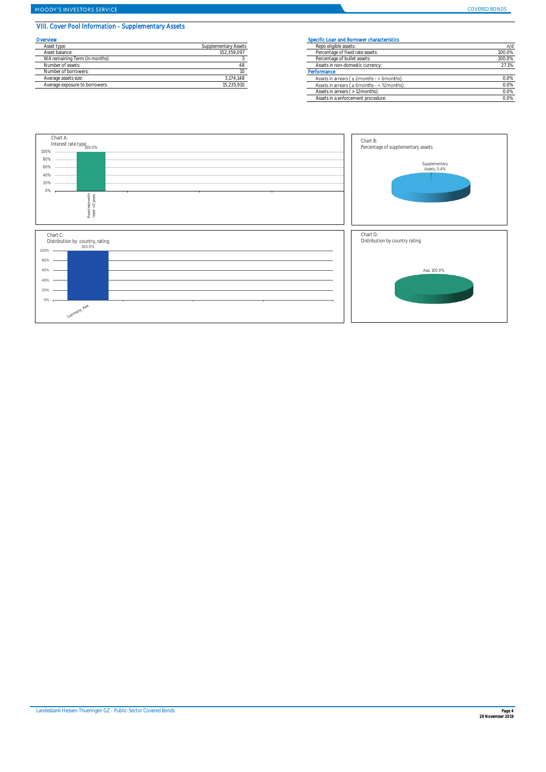## MOODY'S INVESTORS SERVICE

## VIII. Cover Pool Information - Supplementary Assets

| Overvlew                       | Specific Loan and Borrower characteristics |                                                        |  |
|--------------------------------|--------------------------------------------|--------------------------------------------------------|--|
| Asset type:                    | Supplementary Assets                       | Repo eligible assets:                                  |  |
| Asset balance:                 | 152.359.097                                | Percentage of fixed rate assets:                       |  |
| WA remaining Term (in months): |                                            | Percentage of bullet assets:                           |  |
| Number of assets:              |                                            | Assets in non-domestic currency:                       |  |
| Number of borrowers:           |                                            | Performance                                            |  |
| Average assets size:           | 3,174,148                                  | Assets in arrears ( $\geq$ 2months - < 6month          |  |
| Average exposure to borrowers: | 15 235 910                                 | Assets in arrears $l > 6$ months - $\epsilon$ 12 month |  |

|                      | Specific Loan and Borrower characteristics          |        |
|----------------------|-----------------------------------------------------|--------|
| Supplementary Assets | Repo eligible assets:                               | n/d    |
| 152,359,097          | Percentage of fixed rate assets:                    | 100.0% |
|                      | Percentage of bullet assets:                        | 100.0% |
|                      | Assets in non-domestic currency:                    | 27.1%  |
|                      | Performance                                         |        |
| 3,174,148            | Assets in arrears ( $\geq$ 2months - < 6months):    | 0.0%   |
| 15,235,910           | Assets in arrears ( $\geq 6$ months - < 12 months): | 0.0%   |
|                      | Assets in arrears ( > 12months):                    | 0.0%   |
|                      | Assets in a enforcement procedure:                  | 0.0%   |
|                      |                                                     |        |

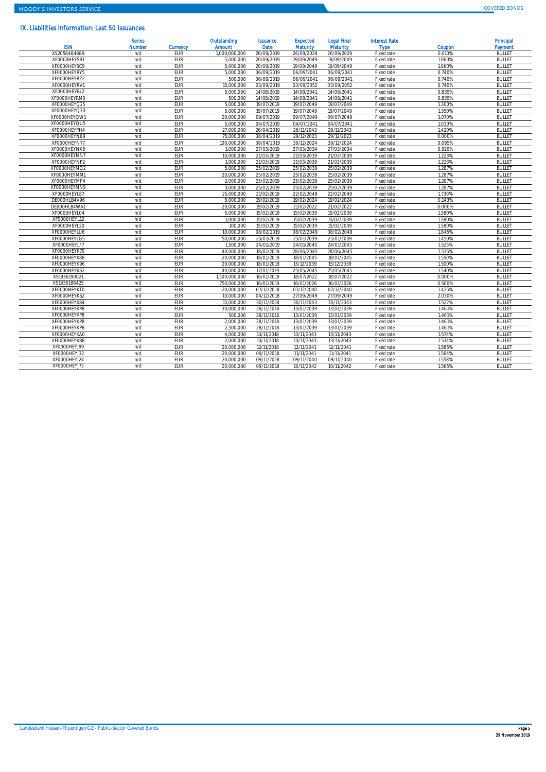### IX. Liabilities Information: Last 50 Issuances

| <b>ISIN</b>  | <b>Serles</b><br><b>Number</b> | <b>Currency</b> | Outstanding<br><b>Amount</b> | <b>Issuance</b><br>Date | <b>Expected</b><br><b>Maturity</b> | <b>Legal Final</b><br><b>Maturity</b> | <b>Interest Rate</b><br><b>Type</b> | Coupon | Principal<br><b>Payment</b> |
|--------------|--------------------------------|-----------------|------------------------------|-------------------------|------------------------------------|---------------------------------------|-------------------------------------|--------|-----------------------------|
| XS2056484889 | n/d                            | EUR             | 1.000.000.000                | 26/09/2019              | 26/09/2029                         | 26/09/2029                            | Fixed rate                          | 0.010% | <b>BULLET</b>               |
| XF0000HEYSB1 | n/d                            | EUR             | 5.000.000                    | 20/09/2019              | 19/09/2049                         | 19/09/2049                            | Fixed rate                          | 1.060% | <b>BULLET</b>               |
| XF0000HEYSC9 | n/d                            | EUR             | 5,000,000                    | 20/09/2019              | 19/09/2049                         | 19/09/2049                            | Fixed rate                          | 1.060% | <b>BULLET</b>               |
| XF0000HEYRY5 | n/d                            | EUR             | 5.000.000                    | 06/09/2019              | 06/09/2041                         | 06/09/2041                            | Fixed rate                          | 0.740% | <b>BULLET</b>               |
| XF0000HEYRZ2 | n/d                            | <b>EUR</b>      | 500,000                      | 06/09/2019              | 06/09/2041                         | 06/09/2041                            | Fixed rate                          | 0.740% | <b>BULLET</b>               |
| XF0000HEYRV1 | n/d                            | <b>EUR</b>      | 15,000,000                   | 03/09/2019              | 03/09/2052                         | 03/09/2052                            | Fixed rate                          | 0.740% | <b>BULLET</b>               |
| XF0000HEYRL2 | n/d                            | EUR             | 5.000.000                    | 14/08/2019              | 14/08/2041                         | 14/08/2041                            | Fixed rate                          | 0.835% | <b>BULLET</b>               |
| XF0000HEYRM0 | n/d                            | EUR             | 500,000                      | 14/08/2019              | 14/08/2041                         | 14/08/2041                            | Fixed rate                          | 0.835% | <b>BULLET</b>               |
| XF0000HEYQ25 | n/d                            | EUR             | 5.000.000                    | 19/07/2019              | 19/07/2049                         | 19/07/2049                            | Fixed rate                          | 1.300% | <b>BULLET</b>               |
| XF0000HEYQ33 | n/d                            | EUR             | 5.000.000                    | 19/07/2019              | 19/07/2049                         | 19/07/2049                            | Fixed rate                          | 1.350% | <b>BULLET</b>               |
| XF0000HEYQW1 | n/d                            | <b>EUR</b>      | 20,000,000                   | 09/07/2019              | 09/07/2049                         | 09/07/2049                            | Fixed rate                          | 1.070% | <b>BULLET</b>               |
| XF0000HEYQU5 | n/d                            | <b>EUR</b>      | 5,000,000                    | 04/07/2019              | 04/07/2041                         | 04/07/2041                            | Fixed rate                          | 1.030% | <b>BULLET</b>               |
| XF0000HEYPH4 | n/d                            | <b>EUR</b>      | 27,000,000                   | 26/04/2019              | 26/11/2043                         | 26/11/2043                            | Fixed rate                          | 1.420% | <b>BULLET</b>               |
| XF0000HEYN69 | n/d                            | EUR             | 75.000.000                   | 08/04/2019              | 29/12/2023                         | 29/12/2023                            | Fixed rate                          | 0.000% | <b>BULLET</b>               |
| XF0000HEYN77 | n/d                            | EUR             | 100.000.000                  | 08/04/2019              | 30/12/2024                         | 30/12/2024                            | Fixed rate                          | 0.095% | <b>BULLET</b>               |
| XF0000HEYNX6 | n/d                            | EUR             | 1.000.000                    | 27/03/2019              | 27/03/2034                         | 27/03/2034                            | Fixed rate                          | 0.920% | <b>BULLET</b>               |
| XF0000HEYNN7 | n/d                            | EUR             | 10.000.000                   | 21/03/2019              | 21/03/2039                         | 21/03/2039                            | Fixed rate                          | 1.223% | <b>BULLET</b>               |
| XF0000HEYNP2 | n/d                            | <b>EUR</b>      | 1.000.000                    | 21/03/2019              | 21/03/2039                         | 21/03/2039                            | Fixed rate                          | 1.223% | <b>BULLET</b>               |
| XF0000HEYMQ2 | n/d                            | <b>EUR</b>      | 5,000,000                    | 25/02/2019              | 25/02/2039                         | 25/02/2039                            | Fixed rate                          | 1.287% | <b>BULLET</b>               |
| XF0000HEYMM1 | n/d                            | <b>EUR</b>      | 20,000,000                   | 25/02/2019              | 25/02/2039                         | 25/02/2039                            | Fixed rate                          | 1.287% | <b>BULLET</b>               |
| XF0000HEYMP4 | n/d                            | EUR             | 2.000.000                    | 25/02/2019              | 25/02/2039                         | 25/02/2039                            | Fixed rate                          | 1.287% | <b>BULLET</b>               |
| XF0000HEYMN9 | n/d                            | EUR             | 3.000.000                    | 25/02/2019              | 25/02/2039                         | 25/02/2039                            | Fixed rate                          | 1.287% | <b>BULLET</b>               |
| XF0000HEYL87 | n/d                            | EUR             | 25.000.000                   | 21/02/2019              | 22/02/2049                         | 22/02/2049                            | Fixed rate                          | 1.730% | <b>BULLET</b>               |
| DE000HLB4V96 | n/d                            | EUR             | 5.000.000                    | 19/02/2019              | 19/02/2024                         | 19/02/2024                            | Fixed rate                          | 0.143% | <b>BULLET</b>               |
| DE000HLB4WA1 | n/d                            | <b>FUR</b>      | 20,000,000                   | 19/02/2019              | 21/02/2022                         | 21/02/2022                            | Fixed rate                          | 0.000% | <b>BULLET</b>               |
| XF0000HEYL04 | n/d                            | <b>EUR</b>      | 5,000,000                    | 15/02/2019              | 15/02/2039                         | 15/02/2039                            | Fixed rate                          | 1.580% | <b>BULLET</b>               |
| XF0000HEYL12 | n/d                            | <b>EUR</b>      | 1.000.000                    | 15/02/2019              | 15/02/2039                         | 15/02/2039                            | Fixed rate                          | 1.580% | <b>BULLET</b>               |
| XF0000HEYL20 | n/d                            | EUR             | 100.000                      | 15/02/2019              | 15/02/2039                         | 15/02/2039                            | Fixed rate                          | 1.580% | <b>BULLET</b>               |
| XF0000HEYLU6 | n/d                            | EUR             | 10.000.000                   | 08/02/2019              | 08/02/2049                         | 08/02/2049                            | Fixed rate                          | 1.845% | <b>BULLET</b>               |
| XF0000HEYLG5 | n/d                            | EUR             | 50.000.000                   | 25/01/2019              | 25/01/2039                         | 25/01/2039                            | Fixed rate                          | 1.450% | <b>BULLET</b>               |
| XF0000HEYLF7 | n/d                            | EUR             | 1.500.000                    | 24/01/2019              | 24/01/2045                         | 24/01/2045                            | Fixed rate                          | 1.525% | <b>BULLET</b>               |
| XF0000HEYK70 | n/d                            | <b>EUR</b>      | 40.000.000                   | 18/01/2019              | 28/06/2045                         | 28/06/2045                            | Fixed rate                          | 1.535% | <b>BULLET</b>               |
| XF0000HEYK88 | n/d                            | <b>EUR</b>      | 20.000.000                   | 18/01/2019              | 18/01/2045                         | 18/01/2045                            | Fixed rate                          | 1.550% | <b>BULLET</b>               |
| XF0000HEYK96 | n/d                            | <b>EUR</b>      | 20.000.000                   | 18/01/2019              | 15/12/2039                         | 15/12/2039                            | Fixed rate                          | 1.500% | <b>BULLET</b>               |
| XF0000HEYK62 | n/d                            | EUR             | 40.000.000                   | 17/01/2019              | 25/05/2045                         | 25/05/2045                            | Fixed rate                          | 1.540% | <b>BULLET</b>               |
| XS193619002  | n/d                            | EUR             | 1.500.000.000                | 16/01/2019              | 18/07/2022                         | 18/07/2022                            | Fixed rate                          | 0.000% | <b>BULLET</b>               |
| XS1936186425 | n/d                            | EUR             | 750.000.000                  | 16/01/2019              | 16/01/2026                         | 16/01/2026                            | Fixed rate                          | 0.500% | <b>BULLET</b>               |
| XF0000HEYKT0 | n/d                            | EUR             | 20.000.000                   | 07/12/2018              | 07/12/2040                         | 07/12/2040                            | Fixed rate                          | 1.425% | <b>BULLET</b>               |
| XF0000HEYKS2 | n/d                            | <b>EUR</b>      | 10.000.000                   | 04/12/2018              | 27/09/2049                         | 27/09/2049                            | Fixed rate                          | 2.030% | <b>BULLET</b>               |
| XF0000HEYKR4 | n/d                            | <b>EUR</b>      | 15,000,000                   | 30/11/2018              | 30/11/2043                         | 30/11/2043                            | Fixed rate                          | 1.522% | <b>BULLET</b>               |
| XF0000HEYKP8 | n/d                            | <b>EUR</b>      | 30,000,000                   | 28/11/2018              | 13/01/2039                         | 13/01/2039                            | Fixed rate                          | 1.461% | <b>BULLET</b>               |
| XF0000HEYKP8 | n/d                            | EUR             | 500.000                      | 28/11/2018              | 13/01/2039                         | 13/01/2039                            | Fixed rate                          | 1.461% | <b>BULLET</b>               |
| XF0000HEYKP8 | n/d                            | EUR             | 2,000,000                    | 28/11/2018              | 13/01/2039                         | 13/01/2039                            | Fixed rate                          | 1.461% | <b>BULLET</b>               |
| XF0000HEYKP8 | n/d                            | EUR             | 2.500.000                    | 28/11/2018              | 13/01/2039                         | 13/01/2039                            | Fixed rate                          | 1.461% | <b>BULLET</b>               |
| XF0000HEYKA0 | n/d                            | EUR             | 4.000.000                    | 13/11/2018              | 13/11/2043                         | 13/11/2043                            | Fixed rate                          | 1.574% | <b>BULLET</b>               |
| XF0000HEYKB8 | n/d                            | EUR             | 2.000.000                    | 13/11/2018              | 13/11/2043                         | 13/11/2043                            | Fixed rate                          | 1.574% | <b>BULLET</b>               |
| XF0000HEYJ99 | n/d                            | <b>EUR</b>      | 20.000.000                   | 12/11/2018              | 12/11/2041                         | 12/11/2041                            | Fixed rate                          | 1.585% | <b>BULLET</b>               |
| XFOOOOHEYJ32 | n/d                            | <b>EUR</b>      | 20,000,000                   | 09/11/2018              | 11/11/2041                         | 11/11/2041                            | Fixed rate                          | 1.564% | <b>BULLET</b>               |
| XF0000HEYJ24 | n/d                            | EUR             | 20.000.000                   | 09/11/2018              | 09/11/2040                         | 09/11/2040                            | Fixed rate                          | 1.558% | <b>BULLET</b>               |
| XFOOOOHEYJ73 | n/d                            | <b>EUR</b>      | 20.000.000                   | 09/11/2018              | 10/11/2042                         | 10/11/2042                            | Fixed rate                          | 1.565% | <b>BULLET</b>               |